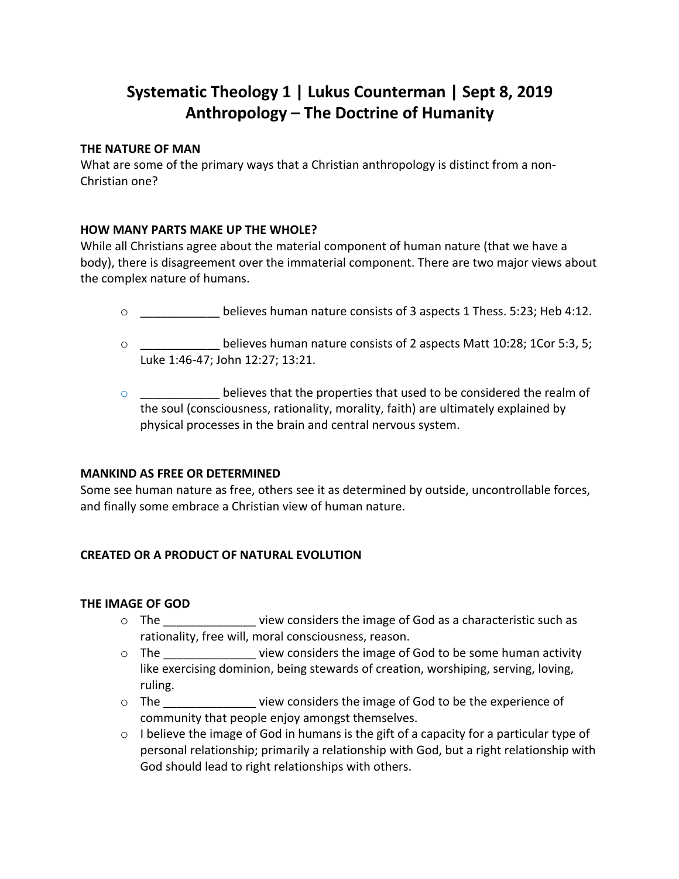# **Systematic Theology 1 | Lukus Counterman | Sept 8, 2019 Anthropology – The Doctrine of Humanity**

## **THE NATURE OF MAN**

What are some of the primary ways that a Christian anthropology is distinct from a non-Christian one?

### **HOW MANY PARTS MAKE UP THE WHOLE?**

While all Christians agree about the material component of human nature (that we have a body), there is disagreement over the immaterial component. There are two major views about the complex nature of humans.

- o \_\_\_\_\_\_\_\_\_\_\_\_ believes human nature consists of 3 aspects 1 Thess. 5:23; Heb 4:12.
- o \_\_\_\_\_\_\_\_\_\_\_\_ believes human nature consists of 2 aspects Matt 10:28; 1Cor 5:3, 5; Luke 1:46-47; John 12:27; 13:21.
- $\circ$  believes that the properties that used to be considered the realm of the soul (consciousness, rationality, morality, faith) are ultimately explained by physical processes in the brain and central nervous system.

## **MANKIND AS FREE OR DETERMINED**

Some see human nature as free, others see it as determined by outside, uncontrollable forces, and finally some embrace a Christian view of human nature.

## **CREATED OR A PRODUCT OF NATURAL EVOLUTION**

#### **THE IMAGE OF GOD**

- $\circ$  The  $\circ$  view considers the image of God as a characteristic such as rationality, free will, moral consciousness, reason.
- o The view considers the image of God to be some human activity like exercising dominion, being stewards of creation, worshiping, serving, loving, ruling.
- o The view considers the image of God to be the experience of community that people enjoy amongst themselves.
- $\circ$  I believe the image of God in humans is the gift of a capacity for a particular type of personal relationship; primarily a relationship with God, but a right relationship with God should lead to right relationships with others.